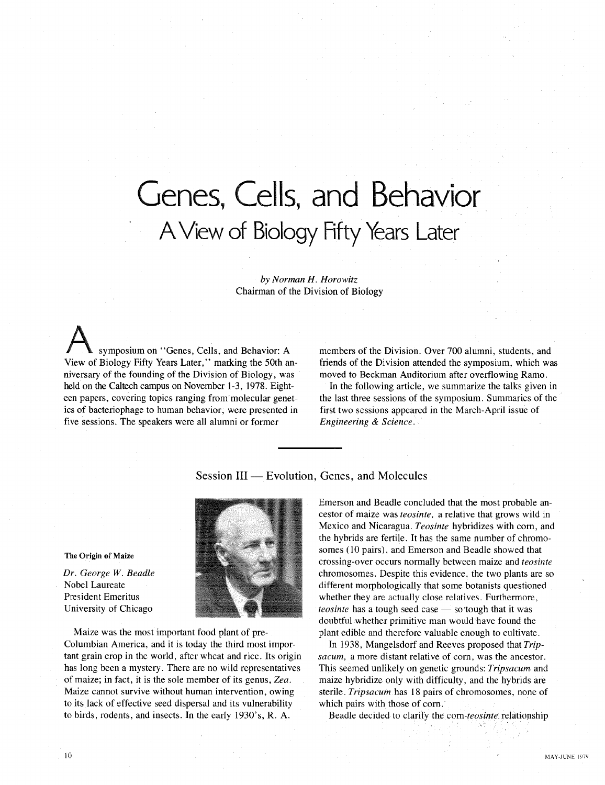# **Genes, Cells, and Behavior AView of Biology Fifty Years Later**

*by Norman H. Horowitz* Chairman of the Division of Biology

symposium on "Genes, Cells, and Behavior: A View of Biology Fifty Years Later," marking the 50th anniversary of the founding of the Division of Biology, was held on the Caltech campus on November 1-3, 1978. Eighteen papers, covering topics ranging from molecular genetics of bacteriophage to human behavior, were presented in five sessions. The speakers were all alumni or former

members of the Division. Over 700 alumni, students, and friends of the Division attended the symposium, which was moved to Beckman Auditorium after overflowing Ramo.

In the following article, we summarize the talks given in the last three sessions of the symposium. Summaries of the first two sessions appeared in the March-April issue of *Engineering* & *Science.*

Session III — Evolution, Genes, and Molecules

The Origin of Maize

*Dr. George W. Beadle* Nobel Laureate President Emeritus University of Chicago

Maize was the most important food plant of pre-Columbian America, and it is today the third most important grain crop in the world, after wheat and rice. Its origin has long been a mystery. There are no wild representatives of maize; in fact, it is the sole member of its genus, *Zea.* Maize cannot survive without human intervention, owing to its lack of effective seed dispersal and its vulnerability to birds, rodents, and insects. In the early 1930's, R. A.

Emerson and Beadle concluded that the most probable ancestor of maize was *teosinte,* a relative that grows wild in Mexico and Nicaragua. *Teosinte* hybridizes with com, and the hybrids are fertile. It has the same number of chromosomes (10 pairs), and Emerson and Beadle showed that crossing-over occurs normally between maize and *teosinte* chromosomes. Despite this evidence, the two plants are so different morphologically that some botanists questioned whether they are actually close relatives. Furthermore, *teosinte* has a tough seed case — so tough that it was doubtful whether primitive man would have found the plant edible and therefore valuable enough to cultivate.

In 1938, Mangelsdorf and Reeves proposed that *Tripsacum,* a more distant relative of com, was the ancestor. This seemed unlikely on genetic grounds: *Tripsacum.* and maize hybridize only with difficulty, and the hybrids are sterile. *Tripsacum* has 18 pairs of chromosomes, none of which pairs with those of com.

Beadle decided to clarify the. *com-teosinte,* relationship

10

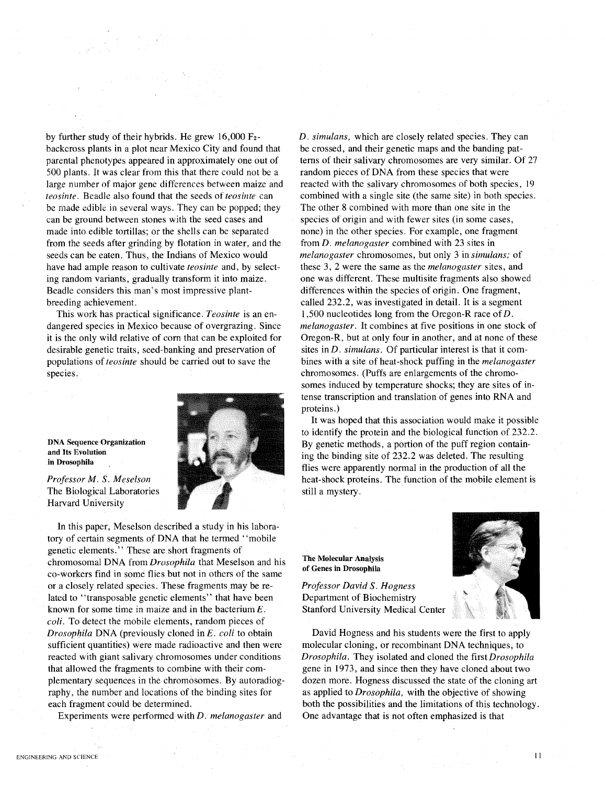by further study of their hybrids. He grew 16,000 F2 backcross plants in a plot near Mexico City and found that parental phenotypes appeared in approximately one out of 500 plants. It was clear from this that there could not be a large number of major gene differences between maize and *teosinte.* Beadle also found that the seeds of *teosinte* can be made edible in several ways. They can be popped; they can be ground between stones with the seed cases and made into edible tortillas; or the shells can be separated from the seeds after grinding by flotation in water, and the seeds can be eaten. Thus, the Indians of Mexico would have had ample reason to cultivate *teosinte* and, by selecting random variants, gradually transform it into maize. Beadle considers this man's most impressive plantbreeding achievement.

This work has practical significance. *Teosinte* is an endangered species in Mexico because of overgrazing. Since it is the only wild relative of com that can be exploited for desirable genetic traits, seed-banking and preservation of populations of *teosinte* should be carried out to save the species.



DNA Sequence Organization and Its Evolution in Drosophila

*Professor M.* S. *Meselson* The Biological Laboratories Harvard University

In this paper, Meselson described a study in his laboratory of certain segments of DNA that he termed' 'mobile genetic elements." These are short fragments of chromosomal DNA from *Drosophila* that Meselson and his co-workers find in some flies but not in others of the same or a closely related species. These fragments may be related to "transposable genetic elements" that have been known for some time in maize and in the bacterium E. *coli.* To detect the mobile elements, random pieces of *Drosophila* DNA (previously cloned in *E. coli* to obtain sufficient quantities) were made radioactive and then were reacted with giant salivary chromosomes under conditions that allowed the fragments to combine with their complementary sequences in the chromosomes. By autoradiography, the number and locations of the binding sites for each fragment could be determined.

Experiments were performed with *D. melanogaster* and

*D. simulans,* which are closely related species. They can be crossed, and their genetic maps and the banding patterns of their salivary chromosomes are very similar. Of 27 random pieces of DNA from these species that were reacted with the salivary chromosomes of both species, 19 combined with a single site (the Same site) in both species. The other 8 combined with more than one site in the species of origin and with fewer sites (in some cases, none) in the other species. For example, one fragment from *D. melanogaster* combined with 23 sites in *melanogaster* chromosomes, but only 3 in *simulans;* of these 3, 2 were the same as the *melanogaster* sites, and one was different. These multisite fragments also showed differences within the species of origin. One fragment, called 232.2, was investigated in detail. It is a segment 1,500 nucleotides long from the Oregon-R race ofD. *melanogaster.* It combines at five positions in one stock of Oregon-R, but at only four in another, and at none of these sites in *D. simulans.* Of particular interest is that it combines with a site of heat-shock puffing in the *melanogaster* chromosomes. (Puffs are enlargements of the chromosomes induced by temperature shocks; they are sites of intense transcription and translation of genes into RNA and proteins.)

It was hoped that this association would make it possible to identify the protein and the biological function of 232.2. By genetic methods, a portion of the puff region containing the binding site of 232.2 was deleted. The resulting flies were apparently normal in the production of all the heat-shock proteins. The function of the mobile element is still a mystery.

The Molecular Analysis of Genes in Drosophila

*Professor David* S. *Hogness* Department of Biochemistry Stanford University Medical Center



David Hogness and his students were the first to apply molecular cloning, or recombinant DNA techniques, to *Drosophila.* They isolated and cloned the first *Drosophila* gene in 1973, and since then they have cloned about two dozen more. Hogness discussed the state of the cloning art as applied to *Drosophila,* with the objective of showing both the possibilities and the limitations of this technology. One advantage that is not often emphasized is that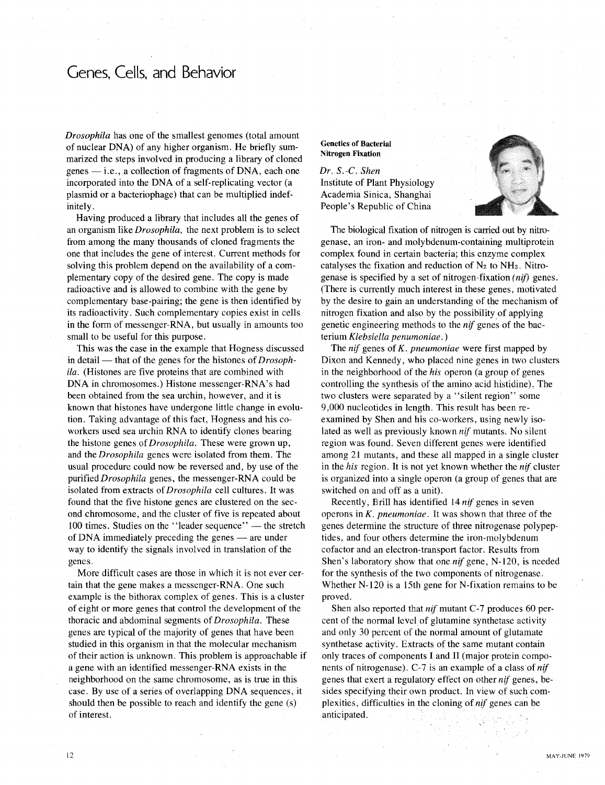### Genes, Cells, and Behavior

*Drosophila* has one of the smallest genomes (total amount of nuclear DNA) of any higher organism. He briefly summarized the steps involved in producing a library of cloned  $genes$   $-$  i.e., a collection of fragments of DNA, each one incorporated into the DNA of a self-replicating vector (a plasmid or a bacteriophage) that can be multiplied indefinitely.

Having produced a library that includes all the genes of an organism like *Drosophila,* the next problem is to select from among the many thousands of cloned fragments the one that includes the gene of interest. Current methods for solving this problem depend on the availability of a complementary copy of the desired gene. The copy is made radioactive and is allowed to combine with the gene by complementary base-pairing; the gene is then identified by its radioactivity. Such complementary copies exist in cells in the form of messenger-RNA, but usually in amounts too small to be useful for this purpose.

This was the case in the example that Hogness discussed in detail — that of the genes for the histones of *Drosophila.* (Histones are five proteins that are combined with DNA in chromosomes.) Histone messenger-RNA's had been obtained from the sea urchin, however, and it is known that histones have undergone little change in evolution. Taking advantage of this fact, Hogness and his coworkers used sea urchin RNA to identify clones bearing the histone genes of *Drosophila.* These were grown up, and the *Drosophila* genes were isolated from them. The usual procedure could now be reversed and, by use of the purified *Drosophila* genes, the messenger-RNA could be isolated from extracts of *Drosophila* cell cultures. It was found that the five histone genes are clustered on the second chromosome, and the cluster of five is repeated about 100 times. Studies on the "leader sequence" — the stretch of DNA immediately preceding the genes  $-$  are under way to identify the signals involved in translation of the genes.

More difficult cases are those in which it is not ever certain that the gene makes a messenger-RNA. One such example is the bithorax complex of genes. This is a cluster of eight or more genes that control the development of the thoracic and abdominal segments of *Drosophila.* These genes are typical of the majority of genes that have been studied in this organism in that the molecular mechanism of their action is unknown. This problem is approachable if a gene with an identified messenger-RNA exists in the neighborhood on the same chromosome, as is true in this case. By use of a series of overlapping DNA sequences, it should then be possible to reach and identify the gene (s) of interest.

#### Genetics of Bacterial Nitrogen Fixation

*Dr. S.-C. Shen* Institute of Plant Physiology Academia Sinica, Shanghai People's Republic of China



The biological fixation of nitrogen is carried out by nitrogenase, an iron- and molybdenum-containing multiprotein complex found in certain bacteria; this enzyme complex catalyses the fixation and reduction of  $N_2$  to  $NH_3$ . Nitrogenase is specified by a set of nitrogen-fixation *(nif)* genes. (There is currently much interest in these genes, motivated by the desire to gain an understanding of the mechanism of nitrogen fixation and also by the possibility of applying genetic engineering methods to the *nif* genes of the bacterium *Klebsiella penumoniae.* )

The *nif* genes of *K. pneumoniae* were first mapped by Dixon and Kennedy, who placed nine genes in two clusters in the neighborhood of the *his* operon (a group of genes controlling the synthesis of the amino acid histidine), The two clusters were separated by a "silent region" some 9,000 nucleotides in length. This result has been reexamined by Shen and his co-workers, using newly isolated as well as previously known *nif* mutants. No silent region was found. Seven different genes were identified among 21 mutants, and these all mapped in a single cluster in the *his* region. It is not yet known whether the *nif* cluster is organized into a single operon (a group of genes that are switched on and off as a unit).

Recently, Brill has identified 14 *nif* genes in seven operons in K. *pneumoniae.* It was shown that three of the genes determine the structure of three nitrogenase polypeptides, and four others determine the iron-molybdenum cofactor and an electron-transport factor. Results from Shen's laboratory show that one *nif* gene, N-120, is needed for the synthesis of the two components of nitrogenase. Whether N-120 is a 15th gene for N-fixation remains to be proved.

Shen also reported that *nif* mutant C-7 produces 60 percent of the normal level of glutamine synthetase activity and only 30 percent of the normal amount of glutamate synthetase activity. Extracts of the same mutant contain only traces of components I and II (major protein components of nitrogenase). C-7 is an example of a class of *nif* genes that exert a regulatory effect on other *nif* genes, besides specifying their own product. In view of such complexities, difficulties in the cloning of *nif* genes can be anticipated.

12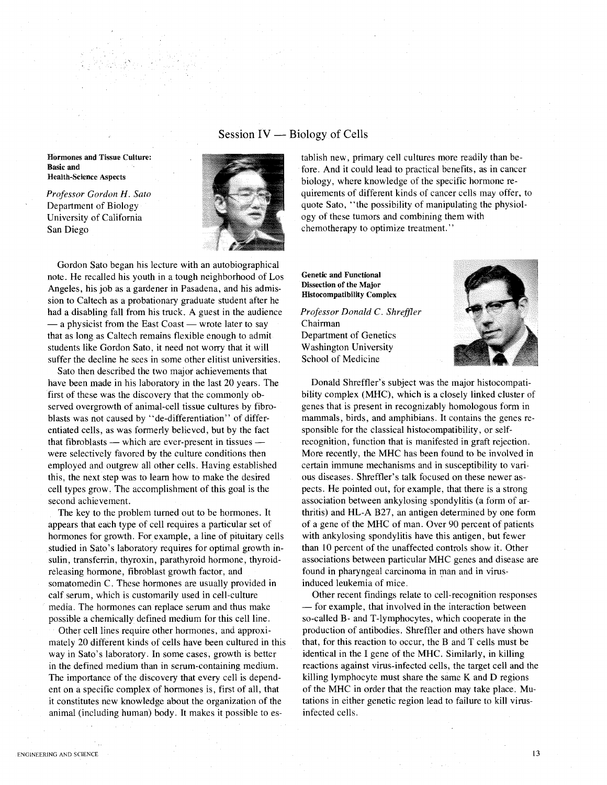### Session  $IV$  — Biology of Cells

Hormones and Tissue Culture: Basic and Health-Science Aspects

*Professor Gordon H. Sato* Department of Biology University of California San Diego



Gordon Sato began his lecture with an autobiographical note. He recalled his youth in a tough neighborhood of Los Angeles, his job as a gardener in Pasadena, and his admission to Caltech as a probationary graduate student after he had a disabling fall from his truck. A guest in the audience - a physicist from the East Coast - wrote later to say that as long as Caltech remains flexible enough to admit students like Gordon Sato, it need not worry that it will suffer the decline he sees in some other elitist universities.

Sato then described the two major achievements that have been made in his laboratory in the last 20 years. The first of these was the discovery that the commonly observed overgrowth of animal-cell tissue cultures by fibroblasts was not caused by "de-differentiation" of differentiated cells, as was formerly believed, but by the fact that fibroblasts  $-$  which are ever-present in tissues  $$ were selectively favored by the culture conditions then employed and outgrew all other cells. Having established this, the next step was to learn how to make the desired cell types grow, The accomplishment of this goal is the second achievement.

The key to the problem turned out to be hormones. It appears that each type of cell requires a particular set of hormones for growth. For example, a line of pituitary cells studied in Sato's laboratory requires for optimal growth insulin, transferrin, thyroxin, parathyroid hormone, thyroidreleasing hormone, fibroblast growth factor, and somatomedin C. These hormones are usually provided in calf serum, which is customarily used in cell-culture media. The hormones can replace serum and thus make possible a chemically defined medium for this cell line.

Other cell lines require other hormones, and approximately 20 different kinds of cells have been cultured in this way in Sato's laboratory. In some cases, growth is better in the defined medium than in serum-containing medium. The importance of the discovery that every cell is dependent on a specific complex of hormones is, first of all, that it constitutes new knowledge about the organization of the animal (including human) body. It makes it possible to establish new, primary cell cultures more readily than before. And it could lead to practical benefits, as in cancer biology, where knowledge of the specific hormone requirements of different kinds of cancer cells may offer, to quote Sato, "the possibility of manipulating the physiology of these tumors and combining them with chemotherapy to optimize treatment."

Genetic and Functional Dissection of the Major Histocompatibility Complex

*Professor Donald* C. *Shreffler* Chairman Department of Genetics Washington University School of Medicine



Donald Shreffler's subject was the major histocompatibility complex (MHC), which is a closely linked cluster of genes that is present in recognizably homologous form in mammals, birds, and amphibians. It contains the genes responsible for the classical histocompatibility, or selfrecognition, function that is manifested in graft rejection. More recently, the MHC has been found to be involved in certain immune mechanisms and in susceptibility to various diseases. Shreffler's talk focused on these newer aspects. He pointed out, for example, that there is a strong association between ankylosing spondylitis (a form of arthritis) and HL-A B27, an antigen determined by one form of a gene of the MHC of man. Over 90 percent of patients with ankylosing spondylitis have this antigen, but fewer than 10 percent of the unaffected controls show it. Other associations between particular MHC genes and disease are found in pharyngeal carcinoma in man and in virusinduced leukemia of mice.

Other recent findings relate to cell-recognition responses - for example, that involved in the interaction between so-called B- and T-Iymphocytes, which cooperate in the production of antibodies. Shreffler and others have shown that, for this reaction to occur, the Band T cells must be identical in the I gene of the MHC. Similarly, in killing reactions against virus-infected cells, the target cell and the killing lymphocyte must share the same K and D regions of the MHC in order that the reaction may take place. Mutations in either genetic region lead to failure to kill virusinfected cells.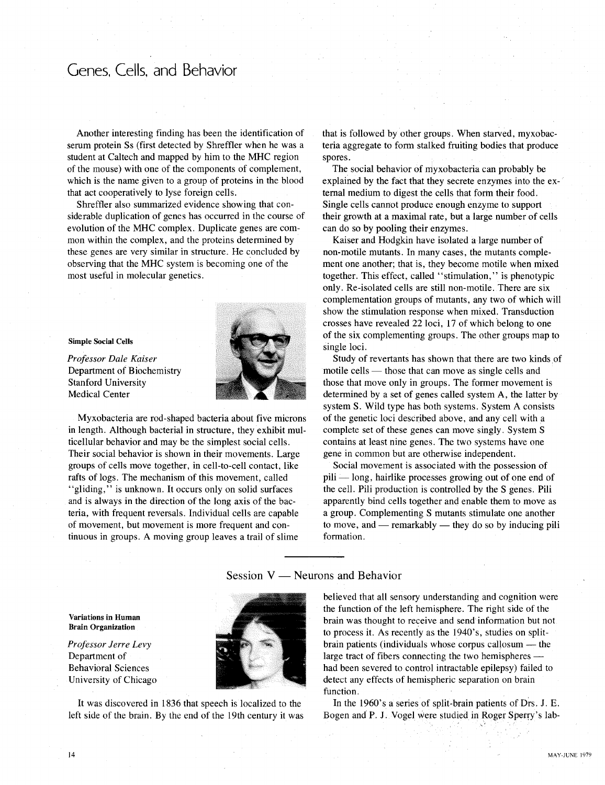### Genes, Cells, and Behavior

Another interesting finding has been the identification of serum protein Ss (first detected by Shreffler when he was a student at Caltech and mapped by him to the MHC region of the mouse) with one of the components of complement, which is the name given to a group of proteins in the blood that act cooperatively to lyse foreign cells.

Shreffler also summarized evidence showing that considerable duplication of genes has occurred in the course of evolution of the MHC complex. Duplicate genes are common within the complex, and the proteins determined by these genes are very similar in structure. He concluded by observing that the MHC system is becoming one of the most useful in molecular genetics.

#### Simple Social Cells

*Professor Dale Kaiser* Department of Biochemistry Stanford University Medical Center



Myxobacteria are rod-shaped bacteria about five microns in length. Although bacterial in structure, they exhibit multicellular behavior and may be the simplest social cells. Their social behavior is shown in their movements. Large groups of cells move together, in cell-to-cell contact, like rafts of logs. The mechanism of this movement, called "gliding," is unknown. It occurs only on solid surfaces and is always in the direction of the long axis of the bacteria, with frequent reversals. Individual cells are capable of movement, but movement is more frequent and continuous in groups. A moving group leaves a trail of slime

that is followed by other groups. When starved, myxobacteria aggregate to form stalked fruiting bodies that produce spores.

The social behavior of myxobacteria can probably be explained by the fact that they secrete enzymes into the external medium to digest the cells that form their food. Single cells cannot produce enough enzyme to support their growth at a maximal rate, but a large number of cells can do so by pooling their enzymes.

Kaiser and Hodgkin have isolated a large number of non-motile mutants. In many cases, the mutants complement one another; that is, they become motile when mixed together. This effect, called "stimulation," is phenotypic only. Re-isolated cells are still non-motile. There are six complementation groups of mutants, any two of which will show the stimulation response when mixed. Transduction crosses have revealed 22 loci, 17 of which belong to one of the six complementing groups. The other groups map to single loci.

Study of revertants has shown that there are two kinds of motile cells — those that can move as single cells and those that move only in groups. The former movement is determined by a set of genes called system A, the latter by system S. Wild type has both systems. System A consists of the genetic loci described above, and any cell with a complete set of these genes can move singly. System S contains at least nine genes. The two systems have one gene in common but are otherwise independent.

Social movement is associated with the possession of pili -long, hairlike processes growing out of one end of the cell. Pili production is controlled by the S genes. Pili apparently bind cells together and enable them to move as a group. Complementing S mutants stimulate one another to move, and  $-$  remarkably  $-$  they do so by inducing pili formation.

Session  $V$  — Neurons and Behavior

Variations in Human Brain Organization

*Professor Jerre Levy* Department of Behavioral Sciences University of Chicago



It was discovered in 1836 that speech is localized to the left side of the brain. By the end of the 19th century it was believed that all sensory understanding and cognition were the function of the left hemisphere. The right side of the brain was thought to receive and send information but not to process it. As recently as the 1940's, studies on splitbrain patients (individuals whose corpus callosum  $-$  the large tract of fibers connecting the two hemispheres had been severed to control intractable epilepsy) failed to detect any effects of hemispheric separation on brain function.

In the 1960's a series of split-brain patients of Drs. J. E. Bogen and P. J. Vogel were studied in Roger Sperry's lab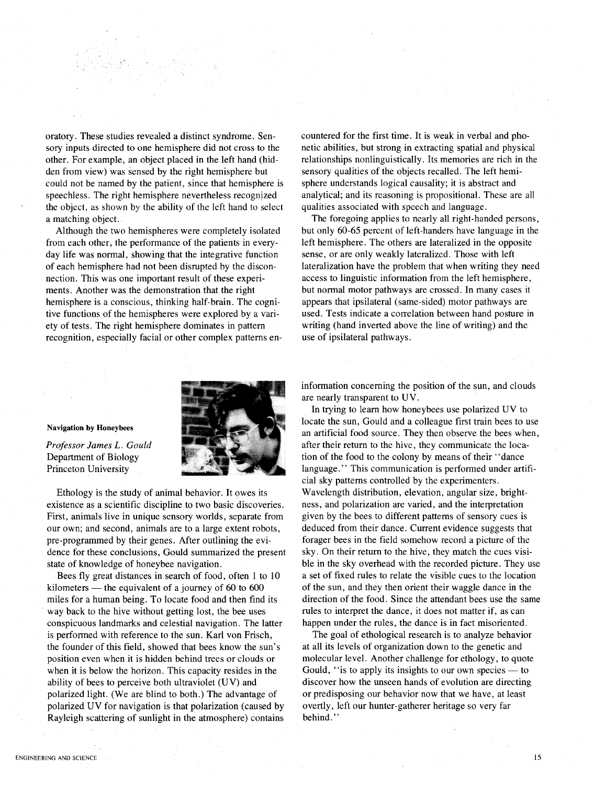oratory. These-studies revealed a distinct syndrome. Sensory inputs directed to one hemisphere did not cross to the other. For example, an object placed in the left hand (hidden from view) was sensed by the right hemisphere but could not be named by the patient, since that hemisphere is speechless. The right hemisphere nevertheless recognized the object, as shown by the ability of the left hand to select a matching object.

Although the two hemispheres were completely isolated from each other, the performance of the patients in everyday life was normal, showing that the integrative function of each hemisphere had not been disrupted by the disconnection. This was one important result of these experiments. Another was the demonstration that the right hemisphere is a conscious, thinking half-brain. The cognitive functions of the hemispheres were explored by a variety of tests. The right hemisphere dominates in pattern recognition, especially facial or other complex patterns encountered for the first time. It is weak in verbal and phonetic abilities, but strong in extracting spatial and physical relationships nonlinguistically. Its memories are rich in the sensory qualities of the objects recalled. The left hemisphere understands logical causality; it is abstract and analytical; and its reasoning is propositional. These are all qualities associated with speech and language.

The foregoing applies to nearly all right-handed persons, but only 60-65 percent of left-handers have language in the left hemisphere. The others are lateralized in the opposite sense, or are only weakly lateralized. Those with left lateralization have the problem that when writing they need access to linguistic information from the left hemisphere, but normal motor pathways are crossed. In many cases it appears that ipsilateral (same-sided) motor pathways are used. Tests indicate a correlation between hand posture in writing (hand inverted above the line of writing) and the use of ipsilateral pathways.

#### Navigation by Honeybees

*Professor James* L. *Gould* Department of Biology Princeton University

Ethology is the study of animal behavior. It owes its existence as a scientific discipline to two basic discoveries. First, animals live in unique sensory worlds, separate from our own; and second, animals are to a large extent robots, pre-programmed by their genes. After outlining the evidence for these conclusions, Gould summarized the present state of knowledge of honeybee navigation.

Bees fly great distances in search of food, often 1 to 10 kilometers  $-$  the equivalent of a journey of 60 to 600 miles for a human being. To locate food and then find its way back to the hive without getting lost, the bee uses conspicuous landmarks and celestial navigation. The latter is performed with reference to the sun. Karl von Frisch, the founder of this field, showed that bees know the sun's position even when it is hidden behind trees or clouds or when it is below the horizon. This capacity resides in the ability of bees to perceive both ultraviolet (UV) and polarized light. (We are blind to both.) The advantage of polarized UV for navigation is that polarization (caused by Rayleigh scattering of sunlight in the atmosphere) contains information concerning the position of the sun, and clouds are nearly transparent to UV.

In trying to learn how honeybees use polarized UV to locate the sun, Gould and a colleague first train bees to use an artificial food source. They then observe the bees when, after their return to the hive, they communicate the location of the food to the colony by means of their "dance language." This communication is performed under artificial sky patterns controlled by the experimenters. Wavelength distribution, elevation, angular size, brightness, and polarization are varied, and the interpretation given by the bees to different patterns of sensory cues is deduced from their dance. Current evidence suggests that forager bees in the field somehow record a picture of the sky. On their return to the hive, they match the cues visible in the sky overhead with the recorded picture. They use a set of fixed rules to relate the visible cues to the location of the sun, and they then orient their waggle dance in the direction of the food. Since the attendant bees use the same rules to interpret the dance, it does not matter if, as can happen under the rules, the dance is in fact misoriented.

The goal of ethological research is to analyze behavior at all its levels of organization down to the genetic and molecular level. Another challenge for ethology, to quote Gould, "is to apply its insights to our own species  $-$  to discover how the unseen hands of evolution are directing or predisposing our behavior now that we have, at least overtly, left our hunter-gatherer heritage so very far behind."